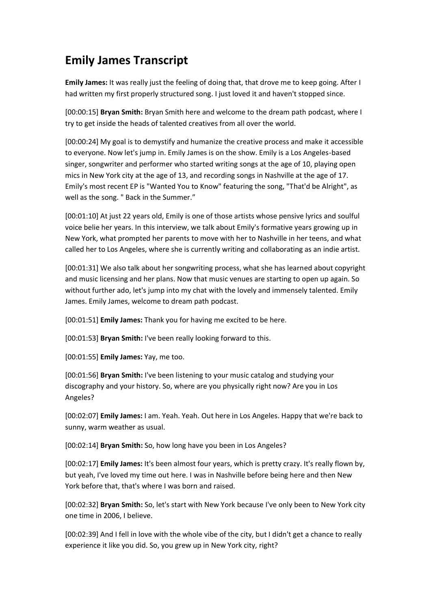## **Emily James Transcript**

**Emily James:** It was really just the feeling of doing that, that drove me to keep going. After I had written my first properly structured song. I just loved it and haven't stopped since.

[00:00:15] **Bryan Smith:** Bryan Smith here and welcome to the dream path podcast, where I try to get inside the heads of talented creatives from all over the world.

[00:00:24] My goal is to demystify and humanize the creative process and make it accessible to everyone. Now let's jump in. Emily James is on the show. Emily is a Los Angeles-based singer, songwriter and performer who started writing songs at the age of 10, playing open mics in New York city at the age of 13, and recording songs in Nashville at the age of 17. Emily's most recent EP is "Wanted You to Know" featuring the song, "That'd be Alright", as well as the song. " Back in the Summer."

[00:01:10] At just 22 years old, Emily is one of those artists whose pensive lyrics and soulful voice belie her years. In this interview, we talk about Emily's formative years growing up in New York, what prompted her parents to move with her to Nashville in her teens, and what called her to Los Angeles, where she is currently writing and collaborating as an indie artist.

[00:01:31] We also talk about her songwriting process, what she has learned about copyright and music licensing and her plans. Now that music venues are starting to open up again. So without further ado, let's jump into my chat with the lovely and immensely talented. Emily James. Emily James, welcome to dream path podcast.

[00:01:51] **Emily James:** Thank you for having me excited to be here.

[00:01:53] **Bryan Smith:** I've been really looking forward to this.

[00:01:55] **Emily James:** Yay, me too.

[00:01:56] **Bryan Smith:** I've been listening to your music catalog and studying your discography and your history. So, where are you physically right now? Are you in Los Angeles?

[00:02:07] **Emily James:** I am. Yeah. Yeah. Out here in Los Angeles. Happy that we're back to sunny, warm weather as usual.

[00:02:14] **Bryan Smith:** So, how long have you been in Los Angeles?

[00:02:17] **Emily James:** It's been almost four years, which is pretty crazy. It's really flown by, but yeah, I've loved my time out here. I was in Nashville before being here and then New York before that, that's where I was born and raised.

[00:02:32] **Bryan Smith:** So, let's start with New York because I've only been to New York city one time in 2006, I believe.

[00:02:39] And I fell in love with the whole vibe of the city, but I didn't get a chance to really experience it like you did. So, you grew up in New York city, right?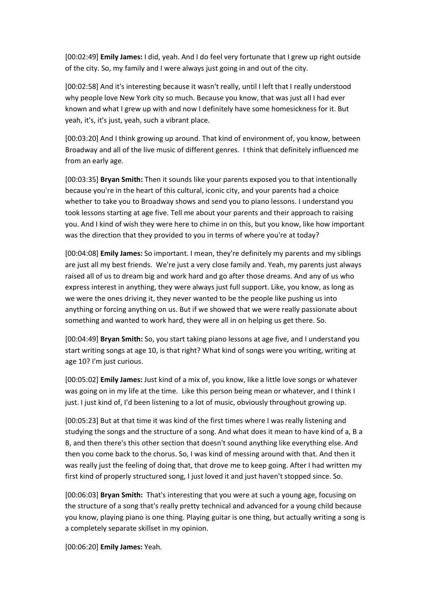[00:02:49] **Emily James:** I did, yeah. And I do feel very fortunate that I grew up right outside of the city. So, my family and I were always just going in and out of the city.

[00:02:58] And it's interesting because it wasn't really, until I left that I really understood why people love New York city so much. Because you know, that was just all I had ever known and what I grew up with and now I definitely have some homesickness for it. But yeah, it's, it's just, yeah, such a vibrant place.

[00:03:20] And I think growing up around. That kind of environment of, you know, between Broadway and all of the live music of different genres. I think that definitely influenced me from an early age.

[00:03:35] **Bryan Smith:** Then it sounds like your parents exposed you to that intentionally because you're in the heart of this cultural, iconic city, and your parents had a choice whether to take you to Broadway shows and send you to piano lessons. I understand you took lessons starting at age five. Tell me about your parents and their approach to raising you. And I kind of wish they were here to chime in on this, but you know, like how important was the direction that they provided to you in terms of where you're at today?

[00:04:08] **Emily James:** So important. I mean, they're definitely my parents and my siblings are just all my best friends. We're just a very close family and. Yeah, my parents just always raised all of us to dream big and work hard and go after those dreams. And any of us who express interest in anything, they were always just full support. Like, you know, as long as we were the ones driving it, they never wanted to be the people like pushing us into anything or forcing anything on us. But if we showed that we were really passionate about something and wanted to work hard, they were all in on helping us get there. So.

[00:04:49] **Bryan Smith:** So, you start taking piano lessons at age five, and I understand you start writing songs at age 10, is that right? What kind of songs were you writing, writing at age 10? I'm just curious.

[00:05:02] **Emily James:** Just kind of a mix of, you know, like a little love songs or whatever was going on in my life at the time. Like this person being mean or whatever, and I think I just. I just kind of, I'd been listening to a lot of music, obviously throughout growing up.

[00:05:23] But at that time it was kind of the first times where I was really listening and studying the songs and the structure of a song. And what does it mean to have kind of a, B a B, and then there's this other section that doesn't sound anything like everything else. And then you come back to the chorus. So, I was kind of messing around with that. And then it was really just the feeling of doing that, that drove me to keep going. After I had written my first kind of properly structured song, I just loved it and just haven't stopped since. So.

[00:06:03] **Bryan Smith:** That's interesting that you were at such a young age, focusing on the structure of a song that's really pretty technical and advanced for a young child because you know, playing piano is one thing. Playing guitar is one thing, but actually writing a song is a completely separate skillset in my opinion.

[00:06:20] **Emily James:** Yeah.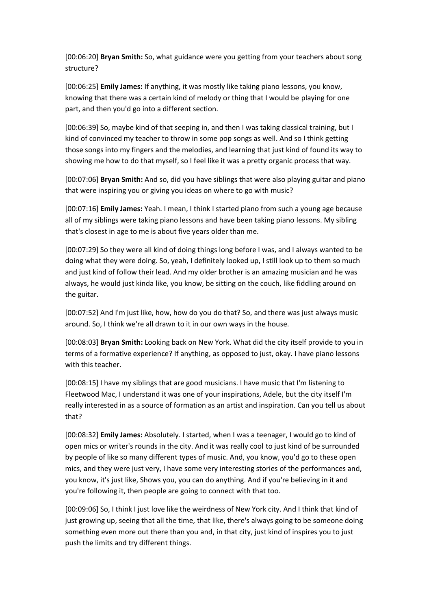[00:06:20] **Bryan Smith:** So, what guidance were you getting from your teachers about song structure?

[00:06:25] **Emily James:** If anything, it was mostly like taking piano lessons, you know, knowing that there was a certain kind of melody or thing that I would be playing for one part, and then you'd go into a different section.

[00:06:39] So, maybe kind of that seeping in, and then I was taking classical training, but I kind of convinced my teacher to throw in some pop songs as well. And so I think getting those songs into my fingers and the melodies, and learning that just kind of found its way to showing me how to do that myself, so I feel like it was a pretty organic process that way.

[00:07:06] **Bryan Smith:** And so, did you have siblings that were also playing guitar and piano that were inspiring you or giving you ideas on where to go with music?

[00:07:16] **Emily James:** Yeah. I mean, I think I started piano from such a young age because all of my siblings were taking piano lessons and have been taking piano lessons. My sibling that's closest in age to me is about five years older than me.

[00:07:29] So they were all kind of doing things long before I was, and I always wanted to be doing what they were doing. So, yeah, I definitely looked up, I still look up to them so much and just kind of follow their lead. And my older brother is an amazing musician and he was always, he would just kinda like, you know, be sitting on the couch, like fiddling around on the guitar.

[00:07:52] And I'm just like, how, how do you do that? So, and there was just always music around. So, I think we're all drawn to it in our own ways in the house.

[00:08:03] **Bryan Smith:** Looking back on New York. What did the city itself provide to you in terms of a formative experience? If anything, as opposed to just, okay. I have piano lessons with this teacher.

[00:08:15] I have my siblings that are good musicians. I have music that I'm listening to Fleetwood Mac, I understand it was one of your inspirations, Adele, but the city itself I'm really interested in as a source of formation as an artist and inspiration. Can you tell us about that?

[00:08:32] **Emily James:** Absolutely. I started, when I was a teenager, I would go to kind of open mics or writer's rounds in the city. And it was really cool to just kind of be surrounded by people of like so many different types of music. And, you know, you'd go to these open mics, and they were just very, I have some very interesting stories of the performances and, you know, it's just like, Shows you, you can do anything. And if you're believing in it and you're following it, then people are going to connect with that too.

[00:09:06] So, I think I just love like the weirdness of New York city. And I think that kind of just growing up, seeing that all the time, that like, there's always going to be someone doing something even more out there than you and, in that city, just kind of inspires you to just push the limits and try different things.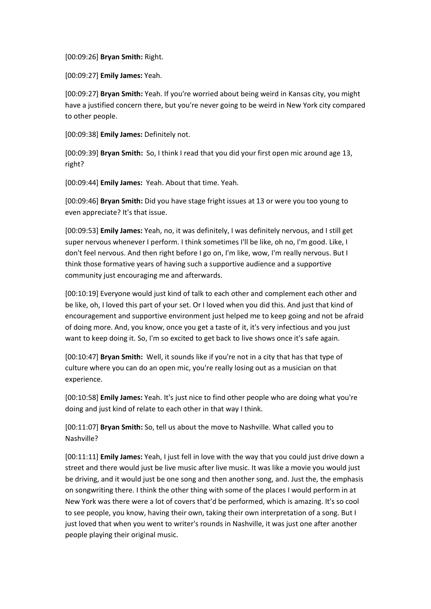[00:09:26] **Bryan Smith:** Right.

[00:09:27] **Emily James:** Yeah.

[00:09:27] **Bryan Smith:** Yeah. If you're worried about being weird in Kansas city, you might have a justified concern there, but you're never going to be weird in New York city compared to other people.

[00:09:38] **Emily James:** Definitely not.

[00:09:39] **Bryan Smith:** So, I think I read that you did your first open mic around age 13, right?

[00:09:44] **Emily James:** Yeah. About that time. Yeah.

[00:09:46] **Bryan Smith:** Did you have stage fright issues at 13 or were you too young to even appreciate? It's that issue.

[00:09:53] **Emily James:** Yeah, no, it was definitely, I was definitely nervous, and I still get super nervous whenever I perform. I think sometimes I'll be like, oh no, I'm good. Like, I don't feel nervous. And then right before I go on, I'm like, wow, I'm really nervous. But I think those formative years of having such a supportive audience and a supportive community just encouraging me and afterwards.

[00:10:19] Everyone would just kind of talk to each other and complement each other and be like, oh, I loved this part of your set. Or I loved when you did this. And just that kind of encouragement and supportive environment just helped me to keep going and not be afraid of doing more. And, you know, once you get a taste of it, it's very infectious and you just want to keep doing it. So, I'm so excited to get back to live shows once it's safe again.

[00:10:47] **Bryan Smith:** Well, it sounds like if you're not in a city that has that type of culture where you can do an open mic, you're really losing out as a musician on that experience.

[00:10:58] **Emily James:** Yeah. It's just nice to find other people who are doing what you're doing and just kind of relate to each other in that way I think.

[00:11:07] **Bryan Smith:** So, tell us about the move to Nashville. What called you to Nashville?

[00:11:11] **Emily James:** Yeah, I just fell in love with the way that you could just drive down a street and there would just be live music after live music. It was like a movie you would just be driving, and it would just be one song and then another song, and. Just the, the emphasis on songwriting there. I think the other thing with some of the places I would perform in at New York was there were a lot of covers that'd be performed, which is amazing. It's so cool to see people, you know, having their own, taking their own interpretation of a song. But I just loved that when you went to writer's rounds in Nashville, it was just one after another people playing their original music.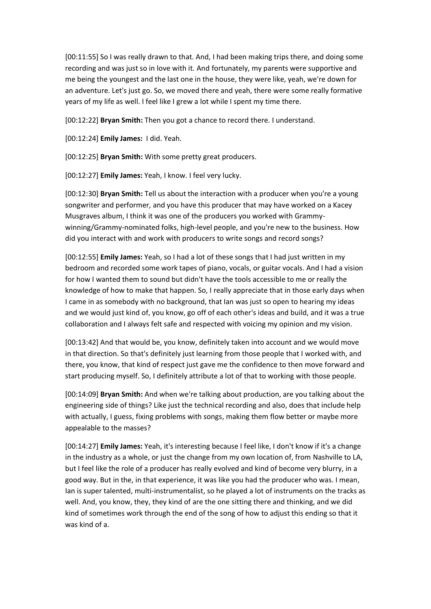[00:11:55] So I was really drawn to that. And, I had been making trips there, and doing some recording and was just so in love with it. And fortunately, my parents were supportive and me being the youngest and the last one in the house, they were like, yeah, we're down for an adventure. Let's just go. So, we moved there and yeah, there were some really formative years of my life as well. I feel like I grew a lot while I spent my time there.

[00:12:22] **Bryan Smith:** Then you got a chance to record there. I understand.

[00:12:24] **Emily James:** I did. Yeah.

[00:12:25] **Bryan Smith:** With some pretty great producers.

[00:12:27] **Emily James:** Yeah, I know. I feel very lucky.

[00:12:30] **Bryan Smith:** Tell us about the interaction with a producer when you're a young songwriter and performer, and you have this producer that may have worked on a Kacey Musgraves album, I think it was one of the producers you worked with Grammywinning/Grammy-nominated folks, high-level people, and you're new to the business. How did you interact with and work with producers to write songs and record songs?

[00:12:55] **Emily James:** Yeah, so I had a lot of these songs that I had just written in my bedroom and recorded some work tapes of piano, vocals, or guitar vocals. And I had a vision for how I wanted them to sound but didn't have the tools accessible to me or really the knowledge of how to make that happen. So, I really appreciate that in those early days when I came in as somebody with no background, that Ian was just so open to hearing my ideas and we would just kind of, you know, go off of each other's ideas and build, and it was a true collaboration and I always felt safe and respected with voicing my opinion and my vision.

[00:13:42] And that would be, you know, definitely taken into account and we would move in that direction. So that's definitely just learning from those people that I worked with, and there, you know, that kind of respect just gave me the confidence to then move forward and start producing myself. So, I definitely attribute a lot of that to working with those people.

[00:14:09] **Bryan Smith:** And when we're talking about production, are you talking about the engineering side of things? Like just the technical recording and also, does that include help with actually, I guess, fixing problems with songs, making them flow better or maybe more appealable to the masses?

[00:14:27] **Emily James:** Yeah, it's interesting because I feel like, I don't know if it's a change in the industry as a whole, or just the change from my own location of, from Nashville to LA, but I feel like the role of a producer has really evolved and kind of become very blurry, in a good way. But in the, in that experience, it was like you had the producer who was. I mean, Ian is super talented, multi-instrumentalist, so he played a lot of instruments on the tracks as well. And, you know, they, they kind of are the one sitting there and thinking, and we did kind of sometimes work through the end of the song of how to adjust this ending so that it was kind of a.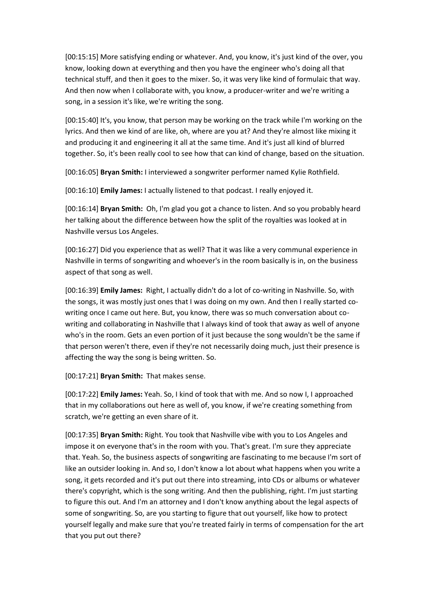[00:15:15] More satisfying ending or whatever. And, you know, it's just kind of the over, you know, looking down at everything and then you have the engineer who's doing all that technical stuff, and then it goes to the mixer. So, it was very like kind of formulaic that way. And then now when I collaborate with, you know, a producer-writer and we're writing a song, in a session it's like, we're writing the song.

[00:15:40] It's, you know, that person may be working on the track while I'm working on the lyrics. And then we kind of are like, oh, where are you at? And they're almost like mixing it and producing it and engineering it all at the same time. And it's just all kind of blurred together. So, it's been really cool to see how that can kind of change, based on the situation.

[00:16:05] **Bryan Smith:** I interviewed a songwriter performer named Kylie Rothfield.

[00:16:10] **Emily James:** I actually listened to that podcast. I really enjoyed it.

[00:16:14] **Bryan Smith:** Oh, I'm glad you got a chance to listen. And so you probably heard her talking about the difference between how the split of the royalties was looked at in Nashville versus Los Angeles.

[00:16:27] Did you experience that as well? That it was like a very communal experience in Nashville in terms of songwriting and whoever's in the room basically is in, on the business aspect of that song as well.

[00:16:39] **Emily James:** Right, I actually didn't do a lot of co-writing in Nashville. So, with the songs, it was mostly just ones that I was doing on my own. And then I really started cowriting once I came out here. But, you know, there was so much conversation about cowriting and collaborating in Nashville that I always kind of took that away as well of anyone who's in the room. Gets an even portion of it just because the song wouldn't be the same if that person weren't there, even if they're not necessarily doing much, just their presence is affecting the way the song is being written. So.

[00:17:21] **Bryan Smith:** That makes sense.

[00:17:22] **Emily James:** Yeah. So, I kind of took that with me. And so now I, I approached that in my collaborations out here as well of, you know, if we're creating something from scratch, we're getting an even share of it.

[00:17:35] **Bryan Smith:** Right. You took that Nashville vibe with you to Los Angeles and impose it on everyone that's in the room with you. That's great. I'm sure they appreciate that. Yeah. So, the business aspects of songwriting are fascinating to me because I'm sort of like an outsider looking in. And so, I don't know a lot about what happens when you write a song, it gets recorded and it's put out there into streaming, into CDs or albums or whatever there's copyright, which is the song writing. And then the publishing, right. I'm just starting to figure this out. And I'm an attorney and I don't know anything about the legal aspects of some of songwriting. So, are you starting to figure that out yourself, like how to protect yourself legally and make sure that you're treated fairly in terms of compensation for the art that you put out there?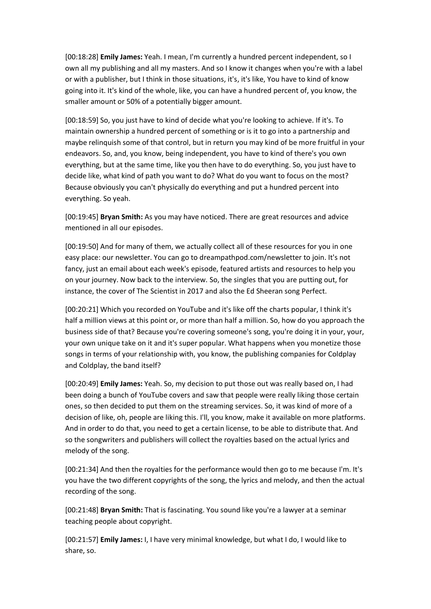[00:18:28] **Emily James:** Yeah. I mean, I'm currently a hundred percent independent, so I own all my publishing and all my masters. And so I know it changes when you're with a label or with a publisher, but I think in those situations, it's, it's like, You have to kind of know going into it. It's kind of the whole, like, you can have a hundred percent of, you know, the smaller amount or 50% of a potentially bigger amount.

[00:18:59] So, you just have to kind of decide what you're looking to achieve. If it's. To maintain ownership a hundred percent of something or is it to go into a partnership and maybe relinquish some of that control, but in return you may kind of be more fruitful in your endeavors. So, and, you know, being independent, you have to kind of there's you own everything, but at the same time, like you then have to do everything. So, you just have to decide like, what kind of path you want to do? What do you want to focus on the most? Because obviously you can't physically do everything and put a hundred percent into everything. So yeah.

[00:19:45] **Bryan Smith:** As you may have noticed. There are great resources and advice mentioned in all our episodes.

[00:19:50] And for many of them, we actually collect all of these resources for you in one easy place: our newsletter. You can go to dreampathpod.com/newsletter to join. It's not fancy, just an email about each week's episode, featured artists and resources to help you on your journey. Now back to the interview. So, the singles that you are putting out, for instance, the cover of The Scientist in 2017 and also the Ed Sheeran song Perfect.

[00:20:21] Which you recorded on YouTube and it's like off the charts popular, I think it's half a million views at this point or, or more than half a million. So, how do you approach the business side of that? Because you're covering someone's song, you're doing it in your, your, your own unique take on it and it's super popular. What happens when you monetize those songs in terms of your relationship with, you know, the publishing companies for Coldplay and Coldplay, the band itself?

[00:20:49] **Emily James:** Yeah. So, my decision to put those out was really based on, I had been doing a bunch of YouTube covers and saw that people were really liking those certain ones, so then decided to put them on the streaming services. So, it was kind of more of a decision of like, oh, people are liking this. I'll, you know, make it available on more platforms. And in order to do that, you need to get a certain license, to be able to distribute that. And so the songwriters and publishers will collect the royalties based on the actual lyrics and melody of the song.

[00:21:34] And then the royalties for the performance would then go to me because I'm. It's you have the two different copyrights of the song, the lyrics and melody, and then the actual recording of the song.

[00:21:48] **Bryan Smith:** That is fascinating. You sound like you're a lawyer at a seminar teaching people about copyright.

[00:21:57] **Emily James:** I, I have very minimal knowledge, but what I do, I would like to share, so.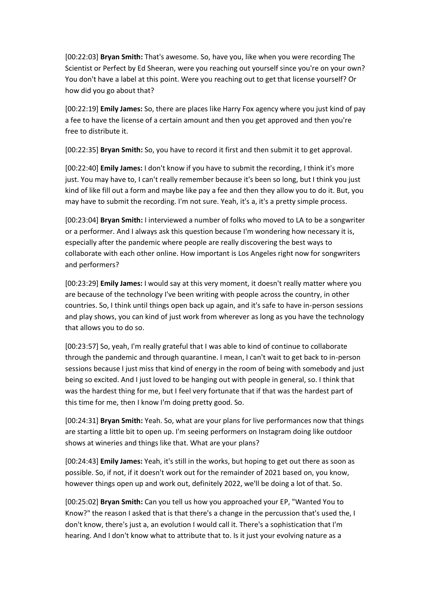[00:22:03] **Bryan Smith:** That's awesome. So, have you, like when you were recording The Scientist or Perfect by Ed Sheeran, were you reaching out yourself since you're on your own? You don't have a label at this point. Were you reaching out to get that license yourself? Or how did you go about that?

[00:22:19] **Emily James:** So, there are places like Harry Fox agency where you just kind of pay a fee to have the license of a certain amount and then you get approved and then you're free to distribute it.

[00:22:35] **Bryan Smith:** So, you have to record it first and then submit it to get approval.

[00:22:40] **Emily James:** I don't know if you have to submit the recording, I think it's more just. You may have to, I can't really remember because it's been so long, but I think you just kind of like fill out a form and maybe like pay a fee and then they allow you to do it. But, you may have to submit the recording. I'm not sure. Yeah, it's a, it's a pretty simple process.

[00:23:04] **Bryan Smith:** I interviewed a number of folks who moved to LA to be a songwriter or a performer. And I always ask this question because I'm wondering how necessary it is, especially after the pandemic where people are really discovering the best ways to collaborate with each other online. How important is Los Angeles right now for songwriters and performers?

[00:23:29] **Emily James:** I would say at this very moment, it doesn't really matter where you are because of the technology I've been writing with people across the country, in other countries. So, I think until things open back up again, and it's safe to have in-person sessions and play shows, you can kind of just work from wherever as long as you have the technology that allows you to do so.

[00:23:57] So, yeah, I'm really grateful that I was able to kind of continue to collaborate through the pandemic and through quarantine. I mean, I can't wait to get back to in-person sessions because I just miss that kind of energy in the room of being with somebody and just being so excited. And I just loved to be hanging out with people in general, so. I think that was the hardest thing for me, but I feel very fortunate that if that was the hardest part of this time for me, then I know I'm doing pretty good. So.

[00:24:31] **Bryan Smith:** Yeah. So, what are your plans for live performances now that things are starting a little bit to open up. I'm seeing performers on Instagram doing like outdoor shows at wineries and things like that. What are your plans?

[00:24:43] **Emily James:** Yeah, it's still in the works, but hoping to get out there as soon as possible. So, if not, if it doesn't work out for the remainder of 2021 based on, you know, however things open up and work out, definitely 2022, we'll be doing a lot of that. So.

[00:25:02] **Bryan Smith:** Can you tell us how you approached your EP, "Wanted You to Know?" the reason I asked that is that there's a change in the percussion that's used the, I don't know, there's just a, an evolution I would call it. There's a sophistication that I'm hearing. And I don't know what to attribute that to. Is it just your evolving nature as a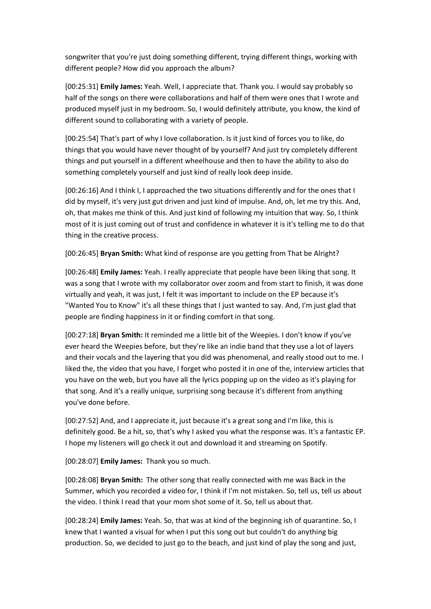songwriter that you're just doing something different, trying different things, working with different people? How did you approach the album?

[00:25:31] **Emily James:** Yeah. Well, I appreciate that. Thank you. I would say probably so half of the songs on there were collaborations and half of them were ones that I wrote and produced myself just in my bedroom. So, I would definitely attribute, you know, the kind of different sound to collaborating with a variety of people.

[00:25:54] That's part of why I love collaboration. Is it just kind of forces you to like, do things that you would have never thought of by yourself? And just try completely different things and put yourself in a different wheelhouse and then to have the ability to also do something completely yourself and just kind of really look deep inside.

[00:26:16] And I think I, I approached the two situations differently and for the ones that I did by myself, it's very just gut driven and just kind of impulse. And, oh, let me try this. And, oh, that makes me think of this. And just kind of following my intuition that way. So, I think most of it is just coming out of trust and confidence in whatever it is it's telling me to do that thing in the creative process.

[00:26:45] **Bryan Smith:** What kind of response are you getting from That be Alright?

[00:26:48] **Emily James:** Yeah. I really appreciate that people have been liking that song. It was a song that I wrote with my collaborator over zoom and from start to finish, it was done virtually and yeah, it was just, I felt it was important to include on the EP because it's "Wanted You to Know" it's all these things that I just wanted to say. And, I'm just glad that people are finding happiness in it or finding comfort in that song.

[00:27:18] **Bryan Smith:** It reminded me a little bit of the Weepies. I don't know if you've ever heard the Weepies before, but they're like an indie band that they use a lot of layers and their vocals and the layering that you did was phenomenal, and really stood out to me. I liked the, the video that you have, I forget who posted it in one of the, interview articles that you have on the web, but you have all the lyrics popping up on the video as it's playing for that song. And it's a really unique, surprising song because it's different from anything you've done before.

[00:27:52] And, and I appreciate it, just because it's a great song and I'm like, this is definitely good. Be a hit, so, that's why I asked you what the response was. It's a fantastic EP. I hope my listeners will go check it out and download it and streaming on Spotify.

[00:28:07] **Emily James:** Thank you so much.

[00:28:08] **Bryan Smith:** The other song that really connected with me was Back in the Summer, which you recorded a video for, I think if I'm not mistaken. So, tell us, tell us about the video. I think I read that your mom shot some of it. So, tell us about that.

[00:28:24] **Emily James:** Yeah. So, that was at kind of the beginning ish of quarantine. So, I knew that I wanted a visual for when I put this song out but couldn't do anything big production. So, we decided to just go to the beach, and just kind of play the song and just,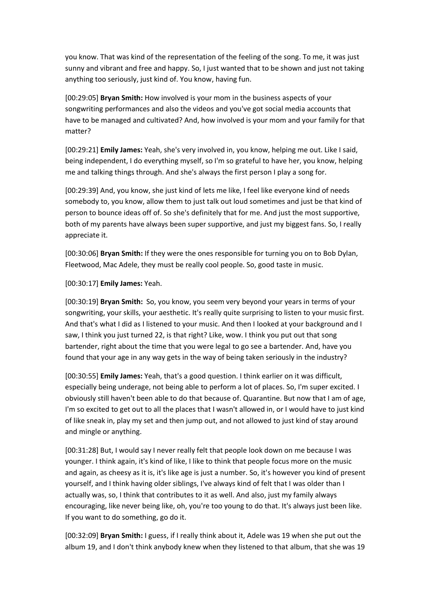you know. That was kind of the representation of the feeling of the song. To me, it was just sunny and vibrant and free and happy. So, I just wanted that to be shown and just not taking anything too seriously, just kind of. You know, having fun.

[00:29:05] **Bryan Smith:** How involved is your mom in the business aspects of your songwriting performances and also the videos and you've got social media accounts that have to be managed and cultivated? And, how involved is your mom and your family for that matter?

[00:29:21] **Emily James:** Yeah, she's very involved in, you know, helping me out. Like I said, being independent, I do everything myself, so I'm so grateful to have her, you know, helping me and talking things through. And she's always the first person I play a song for.

[00:29:39] And, you know, she just kind of lets me like, I feel like everyone kind of needs somebody to, you know, allow them to just talk out loud sometimes and just be that kind of person to bounce ideas off of. So she's definitely that for me. And just the most supportive, both of my parents have always been super supportive, and just my biggest fans. So, I really appreciate it.

[00:30:06] **Bryan Smith:** If they were the ones responsible for turning you on to Bob Dylan, Fleetwood, Mac Adele, they must be really cool people. So, good taste in music.

[00:30:17] **Emily James:** Yeah.

[00:30:19] **Bryan Smith:** So, you know, you seem very beyond your years in terms of your songwriting, your skills, your aesthetic. It's really quite surprising to listen to your music first. And that's what I did as I listened to your music. And then I looked at your background and I saw, I think you just turned 22, is that right? Like, wow. I think you put out that song bartender, right about the time that you were legal to go see a bartender. And, have you found that your age in any way gets in the way of being taken seriously in the industry?

[00:30:55] **Emily James:** Yeah, that's a good question. I think earlier on it was difficult, especially being underage, not being able to perform a lot of places. So, I'm super excited. I obviously still haven't been able to do that because of. Quarantine. But now that I am of age, I'm so excited to get out to all the places that I wasn't allowed in, or I would have to just kind of like sneak in, play my set and then jump out, and not allowed to just kind of stay around and mingle or anything.

[00:31:28] But, I would say I never really felt that people look down on me because I was younger. I think again, it's kind of like, I like to think that people focus more on the music and again, as cheesy as it is, it's like age is just a number. So, it's however you kind of present yourself, and I think having older siblings, I've always kind of felt that I was older than I actually was, so, I think that contributes to it as well. And also, just my family always encouraging, like never being like, oh, you're too young to do that. It's always just been like. If you want to do something, go do it.

[00:32:09] **Bryan Smith:** I guess, if I really think about it, Adele was 19 when she put out the album 19, and I don't think anybody knew when they listened to that album, that she was 19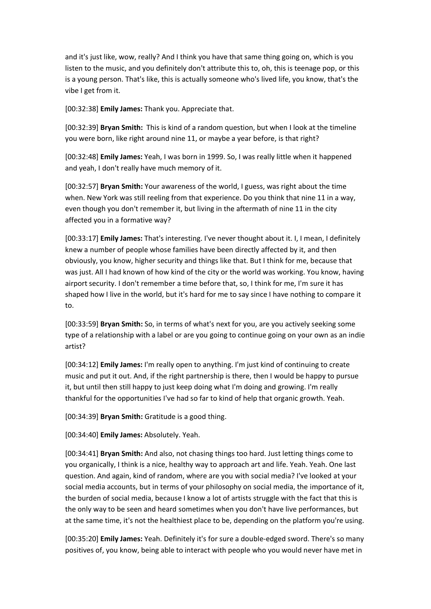and it's just like, wow, really? And I think you have that same thing going on, which is you listen to the music, and you definitely don't attribute this to, oh, this is teenage pop, or this is a young person. That's like, this is actually someone who's lived life, you know, that's the vibe I get from it.

[00:32:38] **Emily James:** Thank you. Appreciate that.

[00:32:39] **Bryan Smith:** This is kind of a random question, but when I look at the timeline you were born, like right around nine 11, or maybe a year before, is that right?

[00:32:48] **Emily James:** Yeah, I was born in 1999. So, I was really little when it happened and yeah, I don't really have much memory of it.

[00:32:57] **Bryan Smith:** Your awareness of the world, I guess, was right about the time when. New York was still reeling from that experience. Do you think that nine 11 in a way, even though you don't remember it, but living in the aftermath of nine 11 in the city affected you in a formative way?

[00:33:17] **Emily James:** That's interesting. I've never thought about it. I, I mean, I definitely knew a number of people whose families have been directly affected by it, and then obviously, you know, higher security and things like that. But I think for me, because that was just. All I had known of how kind of the city or the world was working. You know, having airport security. I don't remember a time before that, so, I think for me, I'm sure it has shaped how I live in the world, but it's hard for me to say since I have nothing to compare it to.

[00:33:59] **Bryan Smith:** So, in terms of what's next for you, are you actively seeking some type of a relationship with a label or are you going to continue going on your own as an indie artist?

[00:34:12] **Emily James:** I'm really open to anything. I'm just kind of continuing to create music and put it out. And, if the right partnership is there, then I would be happy to pursue it, but until then still happy to just keep doing what I'm doing and growing. I'm really thankful for the opportunities I've had so far to kind of help that organic growth. Yeah.

[00:34:39] **Bryan Smith:** Gratitude is a good thing.

[00:34:40] **Emily James:** Absolutely. Yeah.

[00:34:41] **Bryan Smith:** And also, not chasing things too hard. Just letting things come to you organically, I think is a nice, healthy way to approach art and life. Yeah. Yeah. One last question. And again, kind of random, where are you with social media? I've looked at your social media accounts, but in terms of your philosophy on social media, the importance of it, the burden of social media, because I know a lot of artists struggle with the fact that this is the only way to be seen and heard sometimes when you don't have live performances, but at the same time, it's not the healthiest place to be, depending on the platform you're using.

[00:35:20] **Emily James:** Yeah. Definitely it's for sure a double-edged sword. There's so many positives of, you know, being able to interact with people who you would never have met in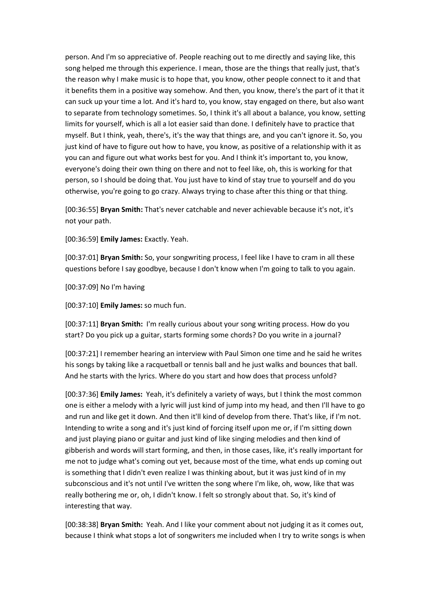person. And I'm so appreciative of. People reaching out to me directly and saying like, this song helped me through this experience. I mean, those are the things that really just, that's the reason why I make music is to hope that, you know, other people connect to it and that it benefits them in a positive way somehow. And then, you know, there's the part of it that it can suck up your time a lot. And it's hard to, you know, stay engaged on there, but also want to separate from technology sometimes. So, I think it's all about a balance, you know, setting limits for yourself, which is all a lot easier said than done. I definitely have to practice that myself. But I think, yeah, there's, it's the way that things are, and you can't ignore it. So, you just kind of have to figure out how to have, you know, as positive of a relationship with it as you can and figure out what works best for you. And I think it's important to, you know, everyone's doing their own thing on there and not to feel like, oh, this is working for that person, so I should be doing that. You just have to kind of stay true to yourself and do you otherwise, you're going to go crazy. Always trying to chase after this thing or that thing.

[00:36:55] **Bryan Smith:** That's never catchable and never achievable because it's not, it's not your path.

[00:36:59] **Emily James:** Exactly. Yeah.

[00:37:01] **Bryan Smith:** So, your songwriting process, I feel like I have to cram in all these questions before I say goodbye, because I don't know when I'm going to talk to you again.

[00:37:09] No I'm having

[00:37:10] **Emily James:** so much fun.

[00:37:11] **Bryan Smith:** I'm really curious about your song writing process. How do you start? Do you pick up a guitar, starts forming some chords? Do you write in a journal?

[00:37:21] I remember hearing an interview with Paul Simon one time and he said he writes his songs by taking like a racquetball or tennis ball and he just walks and bounces that ball. And he starts with the lyrics. Where do you start and how does that process unfold?

[00:37:36] **Emily James:** Yeah, it's definitely a variety of ways, but I think the most common one is either a melody with a lyric will just kind of jump into my head, and then I'll have to go and run and like get it down. And then it'll kind of develop from there. That's like, if I'm not. Intending to write a song and it's just kind of forcing itself upon me or, if I'm sitting down and just playing piano or guitar and just kind of like singing melodies and then kind of gibberish and words will start forming, and then, in those cases, like, it's really important for me not to judge what's coming out yet, because most of the time, what ends up coming out is something that I didn't even realize I was thinking about, but it was just kind of in my subconscious and it's not until I've written the song where I'm like, oh, wow, like that was really bothering me or, oh, I didn't know. I felt so strongly about that. So, it's kind of interesting that way.

[00:38:38] **Bryan Smith:** Yeah. And I like your comment about not judging it as it comes out, because I think what stops a lot of songwriters me included when I try to write songs is when